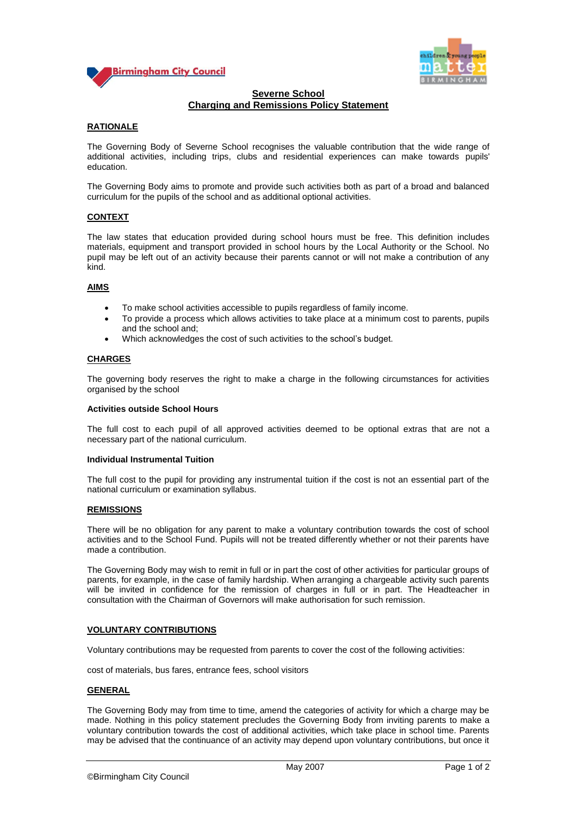



# **Severne School Charging and Remissions Policy Statement**

# **RATIONALE**

The Governing Body of Severne School recognises the valuable contribution that the wide range of additional activities, including trips, clubs and residential experiences can make towards pupils' education.

The Governing Body aims to promote and provide such activities both as part of a broad and balanced curriculum for the pupils of the school and as additional optional activities.

## **CONTEXT**

The law states that education provided during school hours must be free. This definition includes materials, equipment and transport provided in school hours by the Local Authority or the School. No pupil may be left out of an activity because their parents cannot or will not make a contribution of any kind.

### **AIMS**

- To make school activities accessible to pupils regardless of family income.
- To provide a process which allows activities to take place at a minimum cost to parents, pupils and the school and;
- Which acknowledges the cost of such activities to the school's budget.

### **CHARGES**

The governing body reserves the right to make a charge in the following circumstances for activities organised by the school

#### **Activities outside School Hours**

The full cost to each pupil of all approved activities deemed to be optional extras that are not a necessary part of the national curriculum.

#### **Individual Instrumental Tuition**

The full cost to the pupil for providing any instrumental tuition if the cost is not an essential part of the national curriculum or examination syllabus.

#### **REMISSIONS**

There will be no obligation for any parent to make a voluntary contribution towards the cost of school activities and to the School Fund. Pupils will not be treated differently whether or not their parents have made a contribution.

The Governing Body may wish to remit in full or in part the cost of other activities for particular groups of parents, for example, in the case of family hardship. When arranging a chargeable activity such parents will be invited in confidence for the remission of charges in full or in part. The Headteacher in consultation with the Chairman of Governors will make authorisation for such remission.

#### **VOLUNTARY CONTRIBUTIONS**

Voluntary contributions may be requested from parents to cover the cost of the following activities:

cost of materials, bus fares, entrance fees, school visitors

#### **GENERAL**

The Governing Body may from time to time, amend the categories of activity for which a charge may be made. Nothing in this policy statement precludes the Governing Body from inviting parents to make a voluntary contribution towards the cost of additional activities, which take place in school time. Parents may be advised that the continuance of an activity may depend upon voluntary contributions, but once it